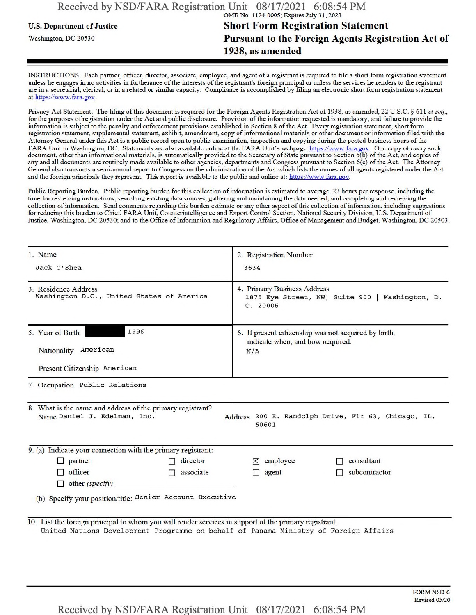## U.S. Department of Justice Short Form Registration Statement Washington, DC 20530 **Pursuant to the Foreign Agents Registration Act of** 1938, as amended

INSTRUCTIONS. Each partner, officer, director, associate, employee, and agent ofa registrant is required to file a short form registration statement unless he engages in no activities in furtherance ofthe interests ofthe registrant's foreign principal or unless the services he renders to the registrant are in a secretarial, clerical, or in a related or similar capacity. Compliance is accomplished by filing an electronic short form registration statement at https://www.fara.gov.

Privacy Act Statement. The filing of this document is required for the Foreign Agents Registration Act of 1938, as amended, 22 U.S.C. § 611 *et seq.*, forthe purposes ofregistration under the Act and public disclosure. Provision ofthe information requested is mandatory, and failure to provide the information is subject to the penalty and enforcement provisions established in Section 8 ofthe Act. Everyregistration statement, short form registration statement, supplemental statement, exhibit, amendment, copy ofinformational materials or other document or information filed with the Attorney General under this Act is a public record open to public examination, inspection and copying during the posted business hours of the FARA Unit in Washington, DC. Statements are also available online at the FARA Unit's webpage: https://www fara.gov. One copy of every such document, other than informational materials, is automatically provided to the Secretary of State pursuant to Section 6(b) of the Act, and copies of any and all documents are routinely made available to other agencies, departments and Congress pursuant to Section 6(c) of the Act. The Attorney General also transmits a semi-annual report to Congress on the administration ofthe Act which lists the names ofall agents registered underthe Act and the foreign principals they represent. This report is available to the public and online at: https://www.fara.gov.

Public Reporting Burden. Public reporting burden for this collection of information is estimated to average .23 hours per response, including the time forreviewing instructions, searching existing data sources, gathering and maintaining the data needed, and completing and reviewing the collection of information. Send comments regarding this burden estimate or any other aspect of this collection of information, including suggestions for reducing this burden to Chief, FARA Unit, Counterintelligence and Export Control Section. National Security Division. U.S. Department of Justice, Washington, DC 20530; and to the Office of Information and Regulatory Affairs, Office of Management and Budget, Washington, DC 20503.

| 1. Name                                                                                                                                                                                       | 2. Registration Number<br>3634                                                                  |  |
|-----------------------------------------------------------------------------------------------------------------------------------------------------------------------------------------------|-------------------------------------------------------------------------------------------------|--|
| Jack O'Shea                                                                                                                                                                                   |                                                                                                 |  |
| 3. Residence Address<br>Washington D.C., United States of America                                                                                                                             | 4. Primary Business Address<br>1875 Eye Street, NW, Suite 900   Washington, D.<br>C. 20006      |  |
| 1996<br>5. Year of Birth<br>Nationality American<br>Present Citizenship American                                                                                                              | 6. If present citizenship was not acquired by birth,<br>indicate when, and how acquired.<br>N/A |  |
| 7. Occupation Public Relations                                                                                                                                                                |                                                                                                 |  |
| 8. What is the name and address of the primary registrant?<br>Name Daniel J. Edelman, Inc.                                                                                                    | Address 200 E. Randolph Drive, Flr 63, Chicago, IL,<br>60601                                    |  |
| 9. (a) Indicate your connection with the primary registrant:                                                                                                                                  |                                                                                                 |  |
| $\Box$ partner<br>$\Box$ director                                                                                                                                                             | $\times$ employee<br>consultant                                                                 |  |
| $\Box$ officer<br>associate<br>П<br>$\Box$ other (specify)                                                                                                                                    | subcontractor<br>$\Box$ agent                                                                   |  |
| (b) Specify your position/title: Senior Account Executive                                                                                                                                     |                                                                                                 |  |
| 10. List the foreign principal to whom you will render services in support of the primary registrant.<br>United Nations Development Programme on behalf of Panama Ministry of Foreign Affairs |                                                                                                 |  |